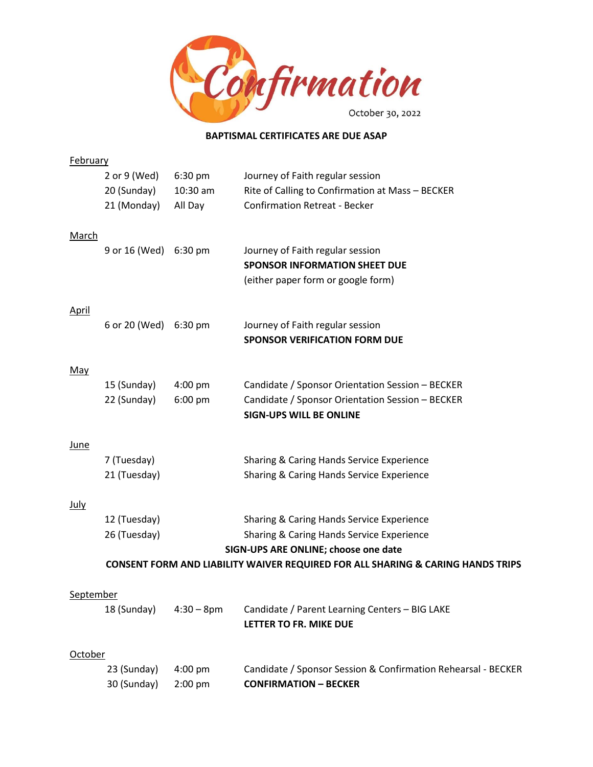

## **BAPTISMAL CERTIFICATES ARE DUE ASAP**

| <b>February</b> |                                                                                            |               |                                                                                               |  |
|-----------------|--------------------------------------------------------------------------------------------|---------------|-----------------------------------------------------------------------------------------------|--|
|                 | 2 or 9 (Wed)                                                                               | 6:30 pm       | Journey of Faith regular session                                                              |  |
|                 | 20 (Sunday)                                                                                | 10:30 am      | Rite of Calling to Confirmation at Mass - BECKER                                              |  |
|                 | 21 (Monday)                                                                                | All Day       | <b>Confirmation Retreat - Becker</b>                                                          |  |
|                 |                                                                                            |               |                                                                                               |  |
| <u>March</u>    |                                                                                            |               |                                                                                               |  |
|                 | 9 or 16 (Wed) 6:30 pm                                                                      |               | Journey of Faith regular session                                                              |  |
|                 |                                                                                            |               | <b>SPONSOR INFORMATION SHEET DUE</b>                                                          |  |
|                 |                                                                                            |               | (either paper form or google form)                                                            |  |
| <u>April</u>    |                                                                                            |               |                                                                                               |  |
|                 | 6 or 20 (Wed) 6:30 pm                                                                      |               | Journey of Faith regular session                                                              |  |
|                 |                                                                                            |               | <b>SPONSOR VERIFICATION FORM DUE</b>                                                          |  |
|                 |                                                                                            |               |                                                                                               |  |
| May             |                                                                                            |               |                                                                                               |  |
|                 | 15 (Sunday)                                                                                | 4:00 pm       | Candidate / Sponsor Orientation Session - BECKER                                              |  |
|                 | 22 (Sunday)                                                                                | 6:00 pm       | Candidate / Sponsor Orientation Session - BECKER                                              |  |
|                 |                                                                                            |               | <b>SIGN-UPS WILL BE ONLINE</b>                                                                |  |
|                 |                                                                                            |               |                                                                                               |  |
| <u>June</u>     |                                                                                            |               |                                                                                               |  |
|                 | 7 (Tuesday)                                                                                |               | Sharing & Caring Hands Service Experience                                                     |  |
|                 | 21 (Tuesday)                                                                               |               | Sharing & Caring Hands Service Experience                                                     |  |
|                 |                                                                                            |               |                                                                                               |  |
| <u>July</u>     | 12 (Tuesday)                                                                               |               | Sharing & Caring Hands Service Experience                                                     |  |
|                 | 26 (Tuesday)                                                                               |               | Sharing & Caring Hands Service Experience                                                     |  |
|                 |                                                                                            |               | SIGN-UPS ARE ONLINE; choose one date                                                          |  |
|                 | <b>CONSENT FORM AND LIABILITY WAIVER REQUIRED FOR ALL SHARING &amp; CARING HANDS TRIPS</b> |               |                                                                                               |  |
|                 |                                                                                            |               |                                                                                               |  |
| September       |                                                                                            |               |                                                                                               |  |
|                 | 18 (Sunday)                                                                                | $4:30 - 8$ pm | Candidate / Parent Learning Centers - BIG LAKE                                                |  |
|                 |                                                                                            |               | LETTER TO FR. MIKE DUE                                                                        |  |
|                 |                                                                                            |               |                                                                                               |  |
| <u>October</u>  |                                                                                            |               |                                                                                               |  |
|                 | 23 (Sunday)                                                                                | 4:00 pm       | Candidate / Sponsor Session & Confirmation Rehearsal - BECKER<br><b>CONFIRMATION - BECKER</b> |  |
|                 | 30 (Sunday)                                                                                | 2:00 pm       |                                                                                               |  |